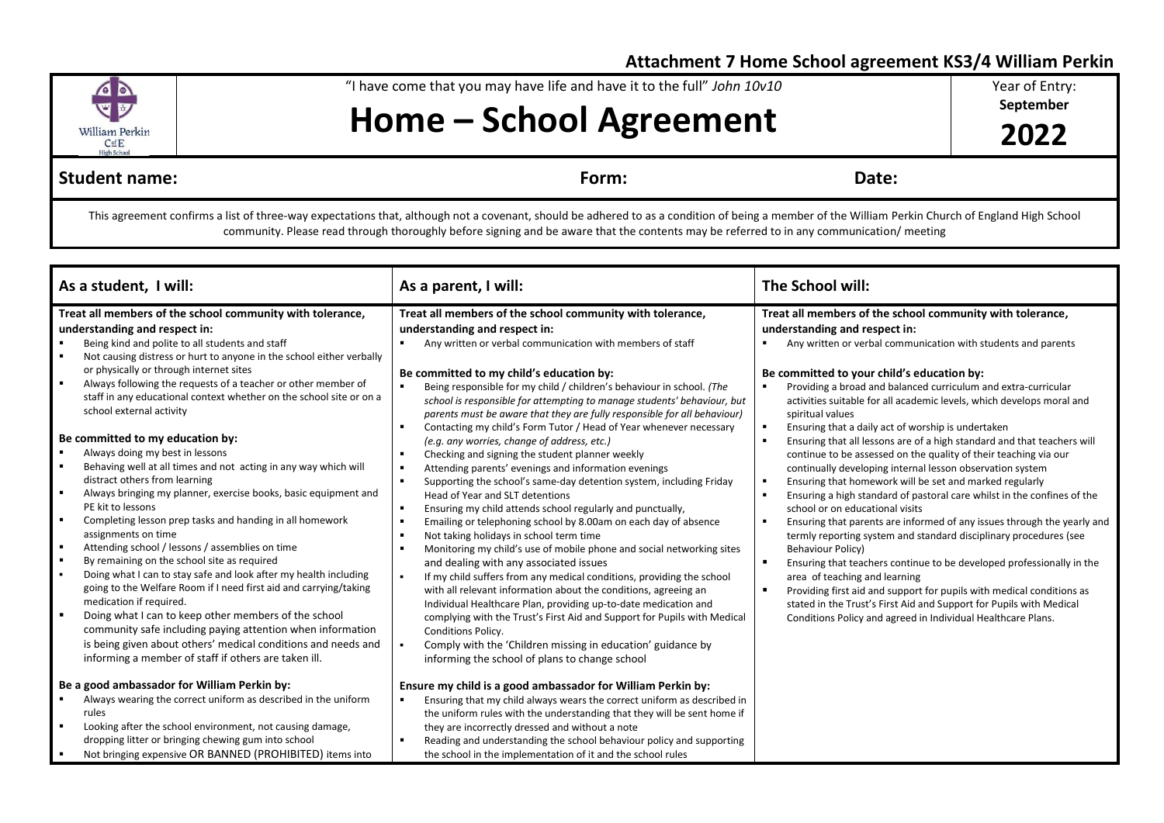## **Attachment 7 Home School agreement KS3/4 William Perkin**



"I have come that you may have life and have it to the full" *John 10v10*

**Home – School Agreement**

Year of Entry:

**September**

**2022**

## **Student name:** Date: Date: Date: Property and Date: Property and Date: Date: Date: Date: Date: Date: Property and Date: Property and Date: Property and Date: Property and Date: Property and Date: Property and Date: Proper

This agreement confirms a list of three-way expectations that, although not a covenant, should be adhered to as a condition of being a member of the William Perkin Church of England High School community. Please read through thoroughly before signing and be aware that the contents may be referred to in any communication/ meeting

| As a student, I will:                                                                                                                                                                                                                                                                                                                                                                                                                                                                                                                                                                                                                                                                                                                                                                                                                                                                                                                                                                                                                                                                                                                                                                                                                                                                                                                                                                                                            | As a parent, I will:                                                                                                                                                                                                                                                                                                                                                                                                                                                                                                                                                                                                                                                                                                                                                                                                                                                                                                                                                                                                                                                                                                                                                                                                                                                                                                                                                                                                                                                                                                                                                                                                                                                                                                                   | The School will:                                                                                                                                                                                                                                                                                                                                                                                                                                                                                                                                                                                                                                                                                                                                                                                                                                                                                                                                                                                                                                                                                                                                                                                                                                                                                                                            |
|----------------------------------------------------------------------------------------------------------------------------------------------------------------------------------------------------------------------------------------------------------------------------------------------------------------------------------------------------------------------------------------------------------------------------------------------------------------------------------------------------------------------------------------------------------------------------------------------------------------------------------------------------------------------------------------------------------------------------------------------------------------------------------------------------------------------------------------------------------------------------------------------------------------------------------------------------------------------------------------------------------------------------------------------------------------------------------------------------------------------------------------------------------------------------------------------------------------------------------------------------------------------------------------------------------------------------------------------------------------------------------------------------------------------------------|----------------------------------------------------------------------------------------------------------------------------------------------------------------------------------------------------------------------------------------------------------------------------------------------------------------------------------------------------------------------------------------------------------------------------------------------------------------------------------------------------------------------------------------------------------------------------------------------------------------------------------------------------------------------------------------------------------------------------------------------------------------------------------------------------------------------------------------------------------------------------------------------------------------------------------------------------------------------------------------------------------------------------------------------------------------------------------------------------------------------------------------------------------------------------------------------------------------------------------------------------------------------------------------------------------------------------------------------------------------------------------------------------------------------------------------------------------------------------------------------------------------------------------------------------------------------------------------------------------------------------------------------------------------------------------------------------------------------------------------|---------------------------------------------------------------------------------------------------------------------------------------------------------------------------------------------------------------------------------------------------------------------------------------------------------------------------------------------------------------------------------------------------------------------------------------------------------------------------------------------------------------------------------------------------------------------------------------------------------------------------------------------------------------------------------------------------------------------------------------------------------------------------------------------------------------------------------------------------------------------------------------------------------------------------------------------------------------------------------------------------------------------------------------------------------------------------------------------------------------------------------------------------------------------------------------------------------------------------------------------------------------------------------------------------------------------------------------------|
| Treat all members of the school community with tolerance,<br>understanding and respect in:<br>Being kind and polite to all students and staff<br>Not causing distress or hurt to anyone in the school either verbally<br>or physically or through internet sites<br>Always following the requests of a teacher or other member of<br>$\blacksquare$<br>staff in any educational context whether on the school site or on a<br>school external activity<br>Be committed to my education by:<br>Always doing my best in lessons<br>Behaving well at all times and not acting in any way which will<br>$\blacksquare$<br>distract others from learning<br>$\blacksquare$<br>Always bringing my planner, exercise books, basic equipment and<br>PE kit to lessons<br>Completing lesson prep tasks and handing in all homework<br>٠<br>assignments on time<br>$\blacksquare$<br>Attending school / lessons / assemblies on time<br>$\blacksquare$<br>By remaining on the school site as required<br>Doing what I can to stay safe and look after my health including<br>$\blacksquare$<br>going to the Welfare Room if I need first aid and carrying/taking<br>medication if required.<br>Doing what I can to keep other members of the school<br>community safe including paying attention when information<br>is being given about others' medical conditions and needs and<br>informing a member of staff if others are taken ill. | Treat all members of the school community with tolerance,<br>understanding and respect in:<br>Any written or verbal communication with members of staff<br>$\blacksquare$<br>Be committed to my child's education by:<br>Being responsible for my child / children's behaviour in school. (The<br>$\blacksquare$<br>school is responsible for attempting to manage students' behaviour, but<br>parents must be aware that they are fully responsible for all behaviour)<br>Contacting my child's Form Tutor / Head of Year whenever necessary<br>$\blacksquare$<br>(e.g. any worries, change of address, etc.)<br>Checking and signing the student planner weekly<br>$\blacksquare$<br>$\blacksquare$<br>Attending parents' evenings and information evenings<br>$\blacksquare$<br>Supporting the school's same-day detention system, including Friday<br>Head of Year and SLT detentions<br>$\blacksquare$<br>Ensuring my child attends school regularly and punctually,<br>$\blacksquare$<br>Emailing or telephoning school by 8.00am on each day of absence<br>$\blacksquare$<br>Not taking holidays in school term time<br>Monitoring my child's use of mobile phone and social networking sites<br>$\blacksquare$<br>and dealing with any associated issues<br>$\blacksquare$<br>If my child suffers from any medical conditions, providing the school<br>with all relevant information about the conditions, agreeing an<br>Individual Healthcare Plan, providing up-to-date medication and<br>complying with the Trust's First Aid and Support for Pupils with Medical<br>Conditions Policy.<br>Comply with the 'Children missing in education' guidance by<br>$\blacksquare$<br>informing the school of plans to change school | Treat all members of the school community with tolerance,<br>understanding and respect in:<br>Any written or verbal communication with students and parents<br>Be committed to your child's education by:<br>Providing a broad and balanced curriculum and extra-curricular<br>activities suitable for all academic levels, which develops moral and<br>spiritual values<br>Ensuring that a daily act of worship is undertaken<br>$\blacksquare$<br>Ensuring that all lessons are of a high standard and that teachers will<br>continue to be assessed on the quality of their teaching via our<br>continually developing internal lesson observation system<br>Ensuring that homework will be set and marked regularly<br>Ensuring a high standard of pastoral care whilst in the confines of the<br>school or on educational visits<br>Ensuring that parents are informed of any issues through the yearly and<br>termly reporting system and standard disciplinary procedures (see<br><b>Behaviour Policy)</b><br>Ensuring that teachers continue to be developed professionally in the<br>area of teaching and learning<br>Providing first aid and support for pupils with medical conditions as<br>stated in the Trust's First Aid and Support for Pupils with Medical<br>Conditions Policy and agreed in Individual Healthcare Plans. |
| Be a good ambassador for William Perkin by:<br>Always wearing the correct uniform as described in the uniform<br>rules<br>Looking after the school environment, not causing damage,<br>$\blacksquare$<br>dropping litter or bringing chewing gum into school<br>Not bringing expensive OR BANNED (PROHIBITED) items into<br>$\blacksquare$                                                                                                                                                                                                                                                                                                                                                                                                                                                                                                                                                                                                                                                                                                                                                                                                                                                                                                                                                                                                                                                                                       | Ensure my child is a good ambassador for William Perkin by:<br>Ensuring that my child always wears the correct uniform as described in<br>٠<br>the uniform rules with the understanding that they will be sent home if<br>they are incorrectly dressed and without a note<br>Reading and understanding the school behaviour policy and supporting<br>$\blacksquare$<br>the school in the implementation of it and the school rules                                                                                                                                                                                                                                                                                                                                                                                                                                                                                                                                                                                                                                                                                                                                                                                                                                                                                                                                                                                                                                                                                                                                                                                                                                                                                                     |                                                                                                                                                                                                                                                                                                                                                                                                                                                                                                                                                                                                                                                                                                                                                                                                                                                                                                                                                                                                                                                                                                                                                                                                                                                                                                                                             |